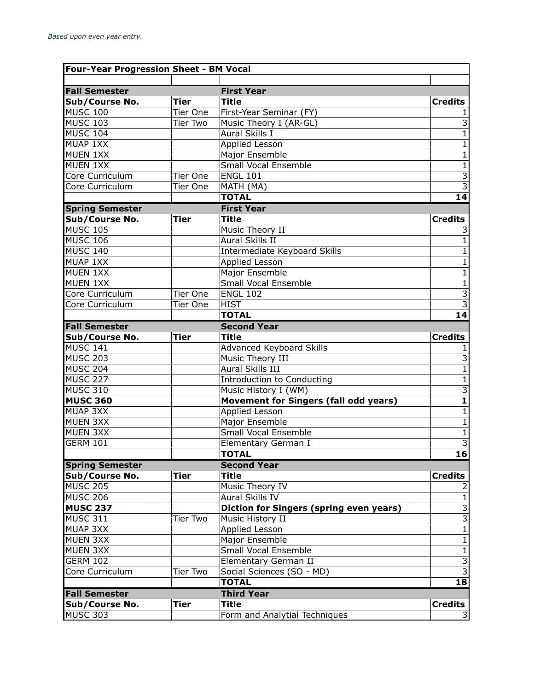| <b>Four-Year Progression Sheet - BM Vocal</b> |                 |                                                                      |                                           |
|-----------------------------------------------|-----------------|----------------------------------------------------------------------|-------------------------------------------|
| <b>Fall Semester</b>                          |                 | <b>First Year</b>                                                    |                                           |
| Sub/Course No.                                | <b>Tier</b>     | <b>Title</b>                                                         | <b>Credits</b>                            |
| <b>MUSC 100</b>                               | Tier One        | First-Year Seminar (FY)                                              |                                           |
| <b>MUSC 103</b>                               | <b>Tier Two</b> | Music Theory I (AR-GL)                                               | $\overline{3}$                            |
| <b>MUSC 104</b>                               |                 | <b>Aural Skills I</b>                                                | $\overline{1}$                            |
| MUAP 1XX                                      |                 | <b>Applied Lesson</b>                                                | $\overline{1}$                            |
| MUEN 1XX                                      |                 | Major Ensemble                                                       | $\overline{1}$                            |
| <b>MUEN 1XX</b>                               |                 | <b>Small Vocal Ensemble</b>                                          | $\overline{1}$                            |
| Core Curriculum                               | Tier One        | <b>ENGL 101</b>                                                      | $\frac{3}{3}$                             |
| Core Curriculum                               | Tier One        | MATH (MA)                                                            |                                           |
|                                               |                 | <b>TOTAL</b>                                                         | 14                                        |
| <b>Spring Semester</b>                        |                 | <b>First Year</b>                                                    |                                           |
| Sub/Course No.                                | <b>Tier</b>     | <b>Title</b>                                                         | <b>Credits</b>                            |
| <b>MUSC 105</b>                               |                 | Music Theory II                                                      | 3                                         |
| <b>MUSC 106</b>                               |                 | Aural Skills II                                                      | 1                                         |
| <b>MUSC 140</b>                               |                 | Intermediate Keyboard Skills                                         | $\mathbf{1}$                              |
| MUAP 1XX                                      |                 | Applied Lesson                                                       | $\mathbf 1$                               |
| MUEN 1XX                                      |                 | Major Ensemble                                                       | $\overline{1}$                            |
| MUEN 1XX                                      |                 | <b>Small Vocal Ensemble</b>                                          | $\overline{1}$                            |
| Core Curriculum                               | Tier One        | <b>ENGL 102</b>                                                      | $\overline{3}$                            |
| Core Curriculum                               | Tier One        | <b>HIST</b>                                                          | $\overline{3}$                            |
|                                               |                 | <b>TOTAL</b>                                                         | 14                                        |
| <b>Fall Semester</b>                          |                 | <b>Second Year</b>                                                   |                                           |
| Sub/Course No.                                | <b>Tier</b>     | <b>Title</b>                                                         | <b>Credits</b>                            |
| <b>MUSC 141</b>                               |                 | Advanced Keyboard Skills                                             |                                           |
| <b>MUSC 203</b>                               |                 | Music Theory III                                                     | 3                                         |
| <b>MUSC 204</b>                               |                 | Aural Skills III                                                     | $\overline{1}$                            |
| <b>MUSC 227</b>                               |                 | Introduction to Conducting                                           | $\overline{1}$                            |
| <b>MUSC 310</b><br><b>MUSC 360</b>            |                 | Music History I (WM)<br><b>Movement for Singers (fall odd years)</b> | $\overline{3}$<br>$\overline{\mathbf{1}}$ |
| <b>MUAP 3XX</b>                               |                 | <b>Applied Lesson</b>                                                | $\overline{1}$                            |
| <b>MUEN 3XX</b>                               |                 | Major Ensemble                                                       | $\overline{1}$                            |
| <b>MUEN 3XX</b>                               |                 | <b>Small Vocal Ensemble</b>                                          | $\overline{1}$                            |
| <b>GERM 101</b>                               |                 | Elementary German I                                                  | $\overline{3}$                            |
|                                               |                 | <b>TOTAL</b>                                                         | $\overline{16}$                           |
| <b>Spring Semester</b>                        |                 | <b>Second Year</b>                                                   |                                           |
| Sub/Course No.                                | <b>Tier</b>     | <b>Title</b>                                                         | <b>Credits</b>                            |
| <b>MUSC 205</b>                               |                 | Music Theory IV                                                      |                                           |
| <b>MUSC 206</b>                               |                 | Aural Skills IV                                                      | $\mathbf{1}$                              |
| <b>MUSC 237</b>                               |                 | <b>Diction for Singers (spring even years)</b>                       |                                           |
| <b>MUSC 311</b>                               | Tier Two        | Music History II                                                     | $\frac{3}{3}$                             |
| <b>MUAP 3XX</b>                               |                 | Applied Lesson                                                       | $\overline{1}$                            |
| MUEN 3XX                                      |                 | Major Ensemble                                                       | $\overline{1}$                            |
| <b>MUEN 3XX</b>                               |                 | Small Vocal Ensemble                                                 | $\mathbf 1$                               |
| <b>GERM 102</b>                               |                 | Elementary German II                                                 | $\frac{3}{3}$                             |
| Core Curriculum                               | Tier Two        | Social Sciences (SO - MD)                                            |                                           |
|                                               |                 | <b>TOTAL</b>                                                         | 18                                        |
| <b>Fall Semester</b>                          |                 | <b>Third Year</b>                                                    |                                           |
| Sub/Course No.                                | <b>Tier</b>     | <b>Title</b>                                                         | <b>Credits</b>                            |
| <b>MUSC 303</b>                               |                 | Form and Analytial Techniques                                        |                                           |